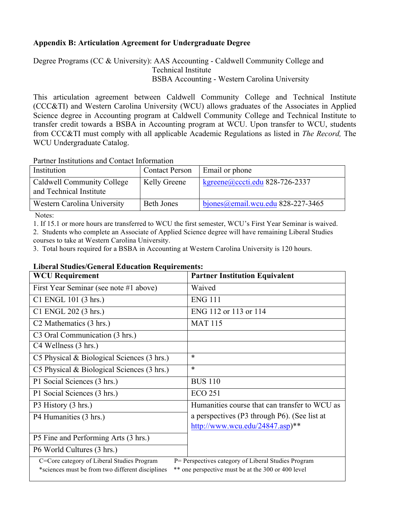## **Appendix B: Articulation Agreement for Undergraduate Degree**

Degree Programs (CC & University): AAS Accounting - Caldwell Community College and Technical Institute BSBA Accounting - Western Carolina University

This articulation agreement between Caldwell Community College and Technical Institute (CCC&TI) and Western Carolina University (WCU) allows graduates of the Associates in Applied Science degree in Accounting program at Caldwell Community College and Technical Institute to transfer credit towards a BSBA in Accounting program at WCU. Upon transfer to WCU, students from CCC&TI must comply with all applicable Academic Regulations as listed in *The Record,* The WCU Undergraduate Catalog.

Partner Institutions and Contact Information

| Institution                                           | <b>Contact Person</b> | Email or phone                    |
|-------------------------------------------------------|-----------------------|-----------------------------------|
| Caldwell Community College<br>and Technical Institute | Kelly Greene          | kgreene@cccti.edu 828-726-2337    |
| Western Carolina University                           | <b>Beth Jones</b>     | bjones@email.wcu.edu 828-227-3465 |
| $\sim$ $\sim$ $\sim$                                  |                       |                                   |

Notes:

1. If 15.1 or more hours are transferred to WCU the first semester, WCU's First Year Seminar is waived.

2. Students who complete an Associate of Applied Science degree will have remaining Liberal Studies courses to take at Western Carolina University.

3. Total hours required for a BSBA in Accounting at Western Carolina University is 120 hours.

## **Liberal Studies/General Education Requirements:**

| <b>WCU Requirement</b>                                                                                                                                                                                      | <b>Partner Institution Equivalent</b>         |  |  |
|-------------------------------------------------------------------------------------------------------------------------------------------------------------------------------------------------------------|-----------------------------------------------|--|--|
| First Year Seminar (see note #1 above)                                                                                                                                                                      | Waived                                        |  |  |
| C1 ENGL 101 (3 hrs.)                                                                                                                                                                                        | <b>ENG 111</b>                                |  |  |
| C1 ENGL 202 (3 hrs.)                                                                                                                                                                                        | ENG 112 or 113 or 114                         |  |  |
| C <sub>2</sub> Mathematics (3 hrs.)                                                                                                                                                                         | <b>MAT 115</b>                                |  |  |
| C <sub>3</sub> Oral Communication (3 hrs.)                                                                                                                                                                  |                                               |  |  |
| C4 Wellness (3 hrs.)                                                                                                                                                                                        |                                               |  |  |
| C5 Physical & Biological Sciences (3 hrs.)                                                                                                                                                                  | $\ast$                                        |  |  |
| C5 Physical $& Biological Sciences (3 hrs.)$                                                                                                                                                                | $\ast$                                        |  |  |
| P1 Social Sciences (3 hrs.)                                                                                                                                                                                 | <b>BUS 110</b>                                |  |  |
| P1 Social Sciences (3 hrs.)                                                                                                                                                                                 | <b>ECO 251</b>                                |  |  |
| P3 History (3 hrs.)                                                                                                                                                                                         | Humanities course that can transfer to WCU as |  |  |
| P4 Humanities (3 hrs.)                                                                                                                                                                                      | a perspectives (P3 through P6). (See list at  |  |  |
|                                                                                                                                                                                                             | http://www.wcu.edu/24847.asp $)**$            |  |  |
| P5 Fine and Performing Arts (3 hrs.)                                                                                                                                                                        |                                               |  |  |
| P6 World Cultures (3 hrs.)                                                                                                                                                                                  |                                               |  |  |
| C=Core category of Liberal Studies Program<br>P= Perspectives category of Liberal Studies Program<br>** one perspective must be at the 300 or 400 level<br>*sciences must be from two different disciplines |                                               |  |  |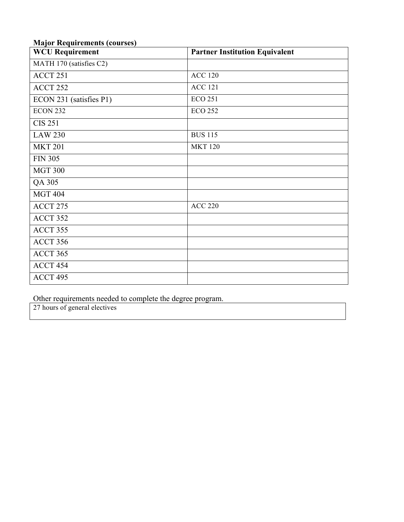## **Major Requirements (courses)**

| <b>WCU Requirement</b>  | <b>Partner Institution Equivalent</b> |
|-------------------------|---------------------------------------|
| MATH 170 (satisfies C2) |                                       |
| ACCT 251                | <b>ACC 120</b>                        |
| ACCT <sub>252</sub>     | <b>ACC 121</b>                        |
| ECON 231 (satisfies P1) | <b>ECO 251</b>                        |
| <b>ECON 232</b>         | <b>ECO 252</b>                        |
| <b>CIS 251</b>          |                                       |
| <b>LAW 230</b>          | <b>BUS 115</b>                        |
| <b>MKT 201</b>          | <b>MKT 120</b>                        |
| <b>FIN 305</b>          |                                       |
| <b>MGT 300</b>          |                                       |
| QA 305                  |                                       |
| <b>MGT 404</b>          |                                       |
| ACCT 275                | <b>ACC 220</b>                        |
| ACCT 352                |                                       |
| ACCT 355                |                                       |
| ACCT 356                |                                       |
| ACCT 365                |                                       |
| ACCT 454                |                                       |
| ACCT 495                |                                       |

Other requirements needed to complete the degree program.

27 hours of general electives